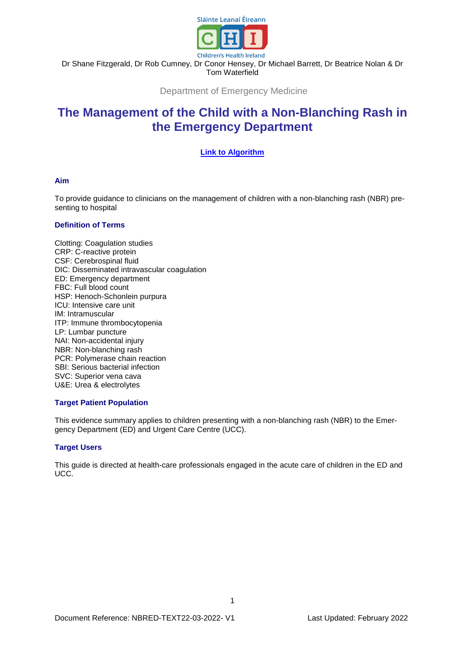

Dr Shane Fitzgerald, Dr Rob Cumney, Dr Conor Hensey, Dr Michael Barrett, Dr Beatrice Nolan & Dr Tom Waterfield

Department of Emergency Medicine

# **The Management of the Child with a Non-Blanching Rash in the Emergency Department**

# **Link to [Algorithm](https://www.olchc.ie/healthcare-professionals/clinical-guidelines/clinical-guidelines-hyperlink-files/nbr-algorithm.pdf)**

#### **Aim**

To provide guidance to clinicians on the management of children with a non-blanching rash (NBR) presenting to hospital

#### **Definition of Terms**

Clotting: Coagulation studies CRP: C-reactive protein CSF: Cerebrospinal fluid DIC: Disseminated intravascular coagulation ED: Emergency department FBC: Full blood count HSP: Henoch-Schonlein purpura ICU: Intensive care unit IM: Intramuscular ITP: Immune thrombocytopenia LP: Lumbar puncture NAI: Non-accidental injury NBR: Non-blanching rash PCR: Polymerase chain reaction SBI: Serious bacterial infection SVC: Superior vena cava U&E: Urea & electrolytes

## **Target Patient Population**

This evidence summary applies to children presenting with a non-blanching rash (NBR) to the Emergency Department (ED) and Urgent Care Centre (UCC).

## **Target Users**

This guide is directed at health-care professionals engaged in the acute care of children in the ED and UCC.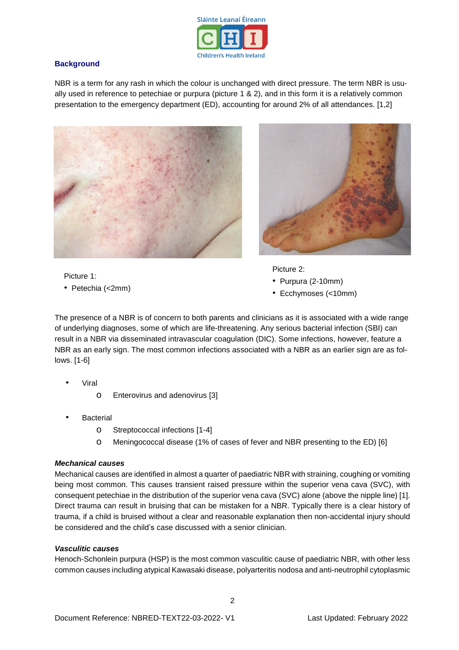

# **Background**

NBR is a term for any rash in which the colour is unchanged with direct pressure. The term NBR is usually used in reference to petechiae or purpura (picture 1 & 2), and in this form it is a relatively common presentation to the emergency department (ED), accounting for around 2% of all attendances. [1,2]





Picture 1:

• Petechia (<2mm)

Picture 2:

- Purpura (2-10mm)
- Ecchymoses (<10mm)

The presence of a NBR is of concern to both parents and clinicians as it is associated with a wide range of underlying diagnoses, some of which are life-threatening. Any serious bacterial infection (SBI) can result in a NBR via disseminated intravascular coagulation (DIC). Some infections, however, feature a NBR as an early sign. The most common infections associated with a NBR as an earlier sign are as follows. [1-6]

- **Viral** 
	- o Enterovirus and adenovirus [3]
- **Bacterial** 
	- o Streptococcal infections [1-4]
	- o Meningococcal disease (1% of cases of fever and NBR presenting to the ED) [6]

# *Mechanical causes*

Mechanical causes are identified in almost a quarter of paediatric NBR with straining, coughing or vomiting being most common. This causes transient raised pressure within the superior vena cava (SVC), with consequent petechiae in the distribution of the superior vena cava (SVC) alone (above the nipple line) [1]. Direct trauma can result in bruising that can be mistaken for a NBR. Typically there is a clear history of trauma, if a child is bruised without a clear and reasonable explanation then non-accidental injury should be considered and the child's case discussed with a senior clinician.

## *Vasculitic causes*

Henoch-Schonlein purpura (HSP) is the most common vasculitic cause of paediatric NBR, with other less common causes including atypical Kawasaki disease, polyarteritis nodosa and anti-neutrophil cytoplasmic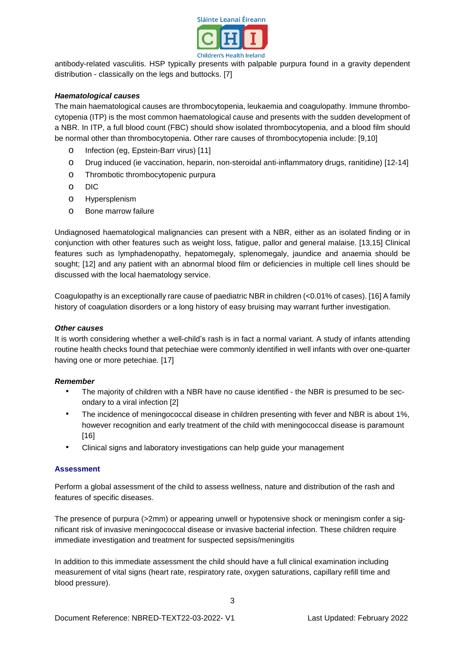

antibody-related vasculitis. HSP typically presents with palpable purpura found in a gravity dependent distribution - classically on the legs and buttocks. [7]

## *Haematological causes*

The main haematological causes are thrombocytopenia, leukaemia and coagulopathy. Immune thrombocytopenia (ITP) is the most common haematological cause and presents with the sudden development of a NBR. In ITP, a full blood count (FBC) should show isolated thrombocytopenia, and a blood film should be normal other than thrombocytopenia. Other rare causes of thrombocytopenia include: [9,10]

- o Infection (eg, Epstein-Barr virus) [11]
- o Drug induced (ie vaccination, heparin, non-steroidal anti-inflammatory drugs, ranitidine) [12-14]
- o Thrombotic thrombocytopenic purpura
- o DIC
- o Hypersplenism
- o Bone marrow failure

Undiagnosed haematological malignancies can present with a NBR, either as an isolated finding or in conjunction with other features such as weight loss, fatigue, pallor and general malaise. [13,15] Clinical features such as lymphadenopathy, hepatomegaly, splenomegaly, jaundice and anaemia should be sought; [12] and any patient with an abnormal blood film or deficiencies in multiple cell lines should be discussed with the local haematology service.

Coagulopathy is an exceptionally rare cause of paediatric NBR in children (<0.01% of cases). [16] A family history of coagulation disorders or a long history of easy bruising may warrant further investigation.

#### *Other causes*

It is worth considering whether a well-child's rash is in fact a normal variant. A study of infants attending routine health checks found that petechiae were commonly identified in well infants with over one-quarter having one or more petechiae. [17]

#### *Remember*

- The majority of children with a NBR have no cause identified the NBR is presumed to be secondary to a viral infection [2]
- The incidence of meningococcal disease in children presenting with fever and NBR is about 1%, however recognition and early treatment of the child with meningococcal disease is paramount [16]
- Clinical signs and laboratory investigations can help guide your management

## **Assessment**

Perform a global assessment of the child to assess wellness, nature and distribution of the rash and features of specific diseases.

The presence of purpura (>2mm) or appearing unwell or hypotensive shock or meningism confer a significant risk of invasive meningococcal disease or invasive bacterial infection. These children require immediate investigation and treatment for suspected sepsis/meningitis

In addition to this immediate assessment the child should have a full clinical examination including measurement of vital signs (heart rate, respiratory rate, oxygen saturations, capillary refill time and blood pressure).